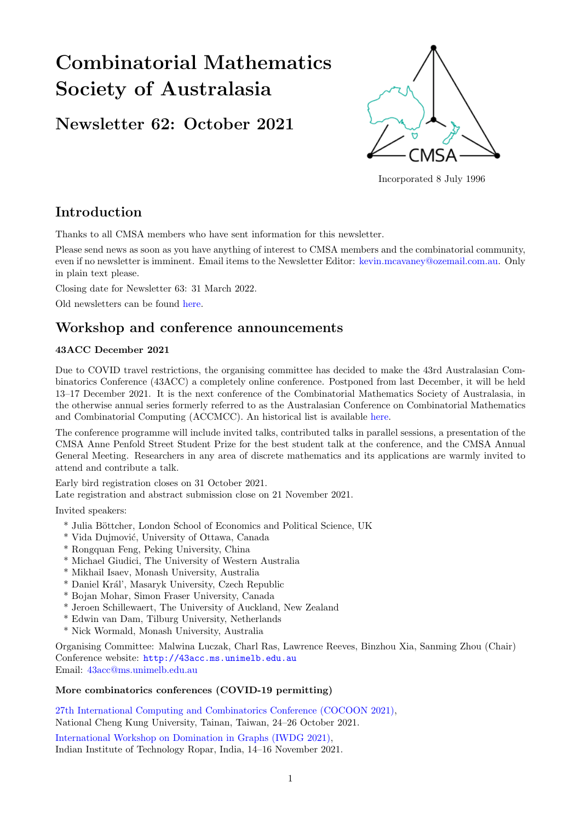# Combinatorial Mathematics Society of Australasia

# Newsletter 62: October 2021



Incorporated 8 July 1996

# Introduction

Thanks to all CMSA members who have sent information for this newsletter.

Please send news as soon as you have anything of interest to CMSA members and the combinatorial community, even if no newsletter is imminent. Email items to the Newsletter Editor: [kevin.mcavaney@ozemail.com.au.](mailto: kevin.mcavaney@ozemail.com.au) Only in plain text please.

Closing date for Newsletter 63: 31 March 2022.

Old newsletters can be found [here.](http://combinatorics-australasia.org/newsletters.html)

# Workshop and conference announcements

#### 43ACC December 2021

Due to COVID travel restrictions, the organising committee has decided to make the 43rd Australasian Combinatorics Conference (43ACC) a completely online conference. Postponed from last December, it will be held 13–17 December 2021. It is the next conference of the Combinatorial Mathematics Society of Australasia, in the otherwise annual series formerly referred to as the Australasian Conference on Combinatorial Mathematics and Combinatorial Computing (ACCMCC). An historical list is available [here.](http://combinatorics-australasia.org/conferences.html)

The conference programme will include invited talks, contributed talks in parallel sessions, a presentation of the CMSA Anne Penfold Street Student Prize for the best student talk at the conference, and the CMSA Annual General Meeting. Researchers in any area of discrete mathematics and its applications are warmly invited to attend and contribute a talk.

Early bird registration closes on 31 October 2021. Late registration and abstract submission close on 21 November 2021.

Invited speakers:

- \* Julia B¨ottcher, London School of Economics and Political Science, UK
- \* Vida Dujmović, University of Ottawa, Canada
- \* Rongquan Feng, Peking University, China
- \* Michael Giudici, The University of Western Australia
- \* Mikhail Isaev, Monash University, Australia
- \* Daniel Kr´al', Masaryk University, Czech Republic
- \* Bojan Mohar, Simon Fraser University, Canada
- \* Jeroen Schillewaert, The University of Auckland, New Zealand
- \* Edwin van Dam, Tilburg University, Netherlands
- \* Nick Wormald, Monash University, Australia

Organising Committee: Malwina Luczak, Charl Ras, Lawrence Reeves, Binzhou Xia, Sanming Zhou (Chair) Conference website: <http://43acc.ms.unimelb.edu.au> Email: [43acc@ms.unimelb.edu.au](mailto: 43acc@ms.unimelb.edu.au)

#### More combinatorics conferences (COVID-19 permitting)

[27th International Computing and Combinatorics Conference \(COCOON 2021\),](http://cocoon-conference.org/2021/) National Cheng Kung University, Tainan, Taiwan, 24–26 October 2021.

[International Workshop on Domination in Graphs \(IWDG 2021\),](https://sites.google.com/view/iwdg-2021) Indian Institute of Technology Ropar, India, 14–16 November 2021.